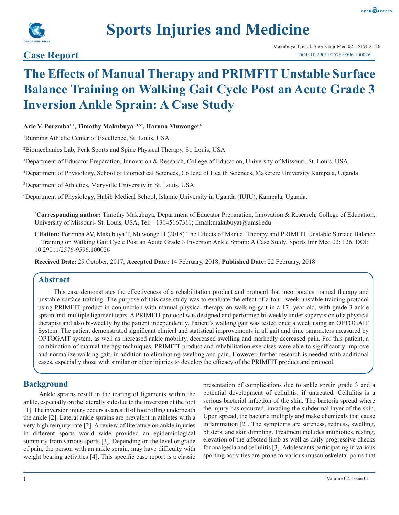



# **Sports Injuries and Medicine**

### **Case Report**

## **The Effects of Manual Therapy and PRIMFIT Unstable Surface Balance Training on Walking Gait Cycle Post an Acute Grade 3 Inversion Ankle Sprain: A Case Study**

**Arie V. Poremba1,2, Timothy Makubuya1,3,5\*, Haruna Muwonge4,6**

1 Running Athletic Center of Excellence, St. Louis, USA

2 Biomechanics Lab, Peak Sports and Spine Physical Therapy, St. Louis, USA

3 Department of Educator Preparation, Innovation & Research, College of Education, University of Missouri, St. Louis, USA

4 Department of Physiology, School of Biomedical Sciences, College of Health Sciences, Makerere University Kampala, Uganda

5 Department of Athletics, Maryville University in St. Louis, USA

6 Department of Physiology, Habib Medical School, Islamic University in Uganda (IUIU), Kampala, Uganda.

**\* Corresponding author:** Timothy Makubuya, Department of Educator Preparation, Innovation & Research, College of Education, University of Missouri- St. Louis, USA, Tel: +13145167311; Email:makubuyat@umsl.edu

**Citation:** Poremba AV, Makubuya T, Muwonge H (2018) The Effects of Manual Therapy and PRIMFIT Unstable Surface Balance Training on Walking Gait Cycle Post an Acute Grade 3 Inversion Ankle Sprain: A Case Study. Sports Injr Med 02: 126. DOI: 10.29011/2576-9596.100026

**Received Date:** 29 October, 2017; **Accepted Date:** 14 February, 2018; **Published Date:** 22 February, 2018

#### **Abstract**

This case demonstrates the effectiveness of a rehabilitation product and protocol that incorporates manual therapy and unstable surface training. The purpose of this case study was to evaluate the effect of a four- week unstable training protocol using PRIMFIT product in conjunction with manual physical therapy on walking gait in a 17- year old, with grade 3 ankle sprain and multiple ligament tears. A PRIMFIT protocol was designed and performed bi-weekly under supervision of a physical therapist and also bi-weekly by the patient independently. Patient's walking gait was tested once a week using an OPTOGAIT System. The patient demonstrated significant clinical and statistical improvements in all gait and time parameters measured by OPTOGAIT system, as well as increased ankle mobility, decreased swelling and markedly decreased pain. For this patient, a combination of manual therapy techniques, PRIMFIT product and rehabilitation exercises were able to significantly improve and normalize walking gait, in addition to eliminating swelling and pain. However, further research is needed with additional cases, especially those with similar or other injuries to develop the efficacy of the PRIMFIT product and protocol.

#### **Background**

Ankle sprains result in the tearing of ligaments within the ankle, especially on the laterally side due to the inversion of the foot [1]. The inversion injury occurs as a result of foot rolling underneath the ankle [2]. Lateral ankle sprains are prevalent in athletes with a very high reinjury rate [2]. A review of literature on ankle injuries in different sports world wide provided an epidemiological summary from various sports [3]. Depending on the level or grade of pain, the person with an ankle sprain, may have difficulty with weight bearing activities [4]. This specific case report is a classic

presentation of complications due to ankle sprain grade 3 and a potential development of cellulitis, if untreated. Cellulitis is a serious bacterial infection of the skin. The bacteria spread where the injury has occurred, invading the subdermal layer of the skin. Upon spread, the bacteria multiply and make chemicals that cause inflammation [2]. The symptoms are soreness, redness, swelling, blisters, and skin dimpling. Treatment includes antibiotics, resting, elevation of the affected limb as well as daily progressive checks for analgesia and cellulitis [3]. Adolescents participating in various sporting activities are prone to various musculoskeletal pains that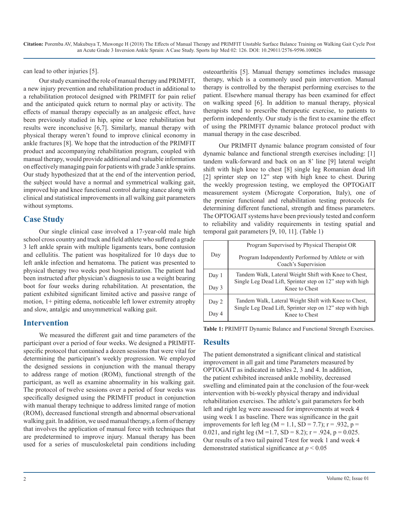can lead to other injuries [5].

Our study examined the role of manual therapy and PRIMFIT, a new injury prevention and rehabilitation product in additional to a rehabilitation protocol designed with PRIMFIT for pain relief and the anticipated quick return to normal play or activity. The effects of manual therapy especially as an analgesic effect, have been previously studied in hip, spine or knee rehabilitation but results were inconclusive [6,7]. Similarly, manual therapy with physical therapy weren't found to improve clinical economy in ankle fractures [8]. We hope that the introduction of the PRIMFIT product and accompanying rehabilitation program, coupled with manual therapy, would provide additional and valuable information on effectively managing pain for patients with grade 3 ankle sprains. Our study hypothesized that at the end of the intervention period, the subject would have a normal and symmetrical walking gait, improved hip and knee functional control during stance along with clinical and statistical improvements in all walking gait parameters without symptoms.

#### **Case Study**

Our single clinical case involved a 17-year-old male high school cross country and track and field athlete who suffered a grade 3 left ankle sprain with multiple ligaments tears, bone contusion and cellulitis. The patient was hospitalized for 10 days due to left ankle infection and hematoma. The patient was presented to physical therapy two weeks post hospitalization. The patient had been instructed after physician's diagnosis to use a weight bearing boot for four weeks during rehabilitation. At presentation, the patient exhibited significant limited active and passive range of motion, 1+ pitting edema, noticeable left lower extremity atrophy and slow, antalgic and unsymmetrical walking gait.

#### **Intervention**

We measured the different gait and time parameters of the participant over a period of four weeks. We designed a PRIMFITspecific protocol that contained a dozen sessions that were vital for determining the participant's weekly progression. We employed the designed sessions in conjunction with the manual therapy to address range of motion (ROM), functional strength of the participant, as well as examine abnormality in his walking gait. The protocol of twelve sessions over a period of four weeks was specifically designed using the PRIMFIT product in conjunction with manual therapy technique to address limited range of motion (ROM), decreased functional strength and abnormal observational walking gait. In addition, we used manual therapy, a form of therapy that involves the application of manual force with techniques that are predetermined to improve injury. Manual therapy has been used for a series of musculoskeletal pain conditions including

osteoarthritis [5]. Manual therapy sometimes includes massage therapy, which is a commonly used pain intervention. Manual therapy is controlled by the therapist performing exercises to the patient. Elsewhere manual therapy has been examined for effect on walking speed [6]. In addition to manual therapy, physical therapists tend to prescribe therapeutic exercise, to patients to perform independently. Our study is the first to examine the effect of using the PRIMFIT dynamic balance protocol product with manual therapy in the case described.

Our PRIMFIT dynamic balance program consisted of four dynamic balance and functional strength exercises including: [1] tandem walk-forward and back on an 8' line [9] lateral weight shift with high knee to chest [8] single leg Romanian dead lift [2] sprinter step on 12" step with high knee to chest. During the weekly progression testing, we employed the OPTOGAIT measurement system (Microgate Corporation, Italy), one of the premier functional and rehabilitation testing protocols for determining different functional, strength and fitness parameters. The OPTOGAIT systems have been previously tested and conform to reliability and validity requirements in testing spatial and temporal gait parameters [9, 10, 11]. (Table 1)

|       | Program Supervised by Physical Therapist OR                                                                        |  |  |
|-------|--------------------------------------------------------------------------------------------------------------------|--|--|
| Day   | Program Independently Performed by Athlete or with<br>Coach's Supervision                                          |  |  |
| Day 1 | Tandem Walk, Lateral Weight Shift with Knee to Chest,<br>Single Leg Dead Lift, Sprinter step on 12" step with high |  |  |
| Day 3 | Knee to Chest                                                                                                      |  |  |
| Day 2 | Tandem Walk, Lateral Weight Shift with Knee to Chest,                                                              |  |  |
| Day 4 | Single Leg Dead Lift, Sprinter step on 12" step with high<br>Knee to Chest                                         |  |  |

**Table 1:** PRIMFIT Dynamic Balance and Functional Strength Exercises.

#### **Results**

The patient demonstrated a significant clinical and statistical improvement in all gait and time Parameters measured by OPTOGAIT as indicated in tables 2, 3 and 4. In addition, the patient exhibited increased ankle mobility, decreased swelling and eliminated pain at the conclusion of the four-week intervention with bi-weekly physical therapy and individual rehabilitation exercises. The athlete's gait parameters for both left and right leg were assessed for improvements at week 4 using week 1 as baseline. There was significance in the gait improvements for left leg ( $M = 1.1$ , SD = 7.7); r = .932, p = 0.021, and right leg (M = 1.7, SD = 8.2);  $r = .924$ ,  $p = 0.025$ . Our results of a two tail paired T-test for week 1 and week 4 demonstrated statistical significance at *p* < 0.05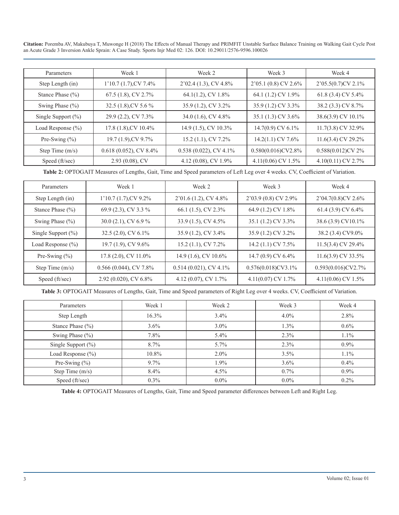**Citation:** Poremba AV, Makubuya T, Muwonge H (2018) The Effects of Manual Therapy and PRIMFIT Unstable Surface Balance Training on Walking Gait Cycle Post an Acute Grade 3 Inversion Ankle Sprain: A Case Study. Sports Injr Med 02: 126. DOI: 10.29011/2576-9596.100026

| Parameters            | Week 1                   | Week 2                   | Week 3                | Week 4                |
|-----------------------|--------------------------|--------------------------|-----------------------|-----------------------|
| Step Length (in)      | $1'10.7(1.7)$ , CV 7.4%  | $2'02.4(1.3), CV 4.8\%$  | 2'05.1 (0.8) CV 2.6%  | $2'05.5(0.7)$ CV 2.1% |
| Stance Phase $(\% )$  | 67.5 (1.8), CV 2.7%      | 64.1(1.2), CV 1.8%       | 64.1 (1.2) CV 1.9%    | 61.8 (3.4) CV 5.4%    |
| Swing Phase $(\% )$   | 32.5 (1.8), CV 5.6 %     | 35.9 (1.2), CV 3.2%      | 35.9 (1.2) CV 3.3%    | 38.2 (3.3) CV 8.7%    |
| Single Support $(\%)$ | 29.9 (2.2), CV 7.3%      | 34.0 (1.6), CV 4.8%      | 35.1 (1.3) CV 3.6%    | 38.6(3.9) CV 10.1%    |
| Load Response $(\% )$ | 17.8 (1.8), CV 10.4%     | 14.9 (1.5), CV 10.3%     | 14.7(0.9) CV 6.1%     | $11.7(3.8)$ CV 32.9%  |
| Pre-Swing $(\% )$     | 19.7 (1.9), CV 9.7%      | 15.2 (1.1), CV 7.2%      | $14.2(1.1)$ CV 7.6%   | 11.6(3.4) CV 29.2%    |
| Step Time $(m/s)$     | $0.618(0.052)$ , CV 8.4% | $0.538(0.022)$ , CV 4.1% | $0.580(0.016)$ CV2.8% | $0.588(0.012)$ CV 2%  |
| Speed (ft/sec)        | $2.93(0.08)$ , CV        | 4.12 (0.08), CV 1.9%     | 4.11(0.06) CV 1.5%    | 4.10(0.11) CV 2.7%    |

**Table 2:** OPTOGAIT Measures of Lengths, Gait, Time and Speed parameters of Left Leg over 4 weeks. CV, Coefficient of Variation.

| Week 1<br>Parameters                          |                         | Week 2                   | Week 3                | Week 4                |  |
|-----------------------------------------------|-------------------------|--------------------------|-----------------------|-----------------------|--|
| Step Length (in)                              | $1'10.7(1.7)$ , CV 9.2% | $2'01.6(1.2), CV 4.8\%$  | $2'03.9(0.8)$ CV 2.9% | $2'04.7(0.8)$ CV 2.6% |  |
| 69.9 (2.3), CV 3.3 %<br>Stance Phase $(\% )$  |                         | 66.1 (1.5), CV 2.3%      | 64.9 (1.2) CV 1.8%    | 61.4 (3.9) CV 6.4%    |  |
| 30.0 (2.1), CV 6.9 %<br>Swing Phase $(\% )$   |                         | 33.9 (1.5), CV 4.5%      | 35.1 (1.2) CV 3.3%    | 38.6 (3.9) CV10.1%    |  |
| Single Support $(\%)$                         | 32.5 $(2.0)$ , CV 6.1%  | 35.9 (1.2), CV 3.4%      | 35.9 (1.2) CV 3.2%    | 38.2 (3.4) CV9.0%     |  |
| Load Response $(\% )$                         | 19.7 $(1.9)$ , CV 9.6%  | 15.2 $(1.1)$ , CV 7.2%   | 14.2 $(1.1)$ CV 7.5%  | 11.5(3.4) CV 29.4%    |  |
| Pre-Swing $(\% )$                             | $17.8$ (2.0), CV 11.0%  | 14.9 (1.6), CV 10.6%     | 14.7 (0.9) CV 6.4%    | 11.6(3.9) CV 33.5%    |  |
| $0.566(0.044)$ , CV 7.8%<br>Step Time $(m/s)$ |                         | $0.514(0.021)$ , CV 4.1% | $0.576(0.018)$ CV3.1% | $0.593(0.016)$ CV2.7% |  |
| Speed (ft/sec)                                | 2.92 (0.020), CV 6.8%   | 4.12 (0.07), CV 1.7%     | 4.11(0.07) CV 1.7%    | 4.11(0.06) CV 1.5%    |  |

**Table 3:** OPTOGAIT Measures of Lengths, Gait, Time and Speed parameters of Right Leg over 4 weeks. CV, Coefficient of Variation.

| Parameters             | Week 1   | Week 2  | Week 3  | Week 4  |
|------------------------|----------|---------|---------|---------|
| Step Length            | 16.3%    | 3.4%    | $4.0\%$ | 2.8%    |
| Stance Phase $(\% )$   | $3.6\%$  | $3.0\%$ | $1.3\%$ | $0.6\%$ |
| Swing Phase $(\% )$    | 7.8%     | 5.4%    | 2.3%    | 1.1%    |
| Single Support $(\% )$ | 8.7%     | 5.7%    | 2.3%    | $0.9\%$ |
| Load Response $(\% )$  | $10.8\%$ | $2.0\%$ | 3.5%    | 1.1%    |
| Pre-Swing $(\% )$      | $9.7\%$  | 1.9%    | 3.6%    | 0.4%    |
| Step Time (m/s)        | $8.4\%$  | $4.5\%$ | $0.7\%$ | $0.9\%$ |
| Speed (ft/sec)         | $0.3\%$  | $0.0\%$ | $0.0\%$ | $0.2\%$ |

**Table 4:** OPTOGAIT Measures of Lengths, Gait, Time and Speed parameter differences between Left and Right Leg.